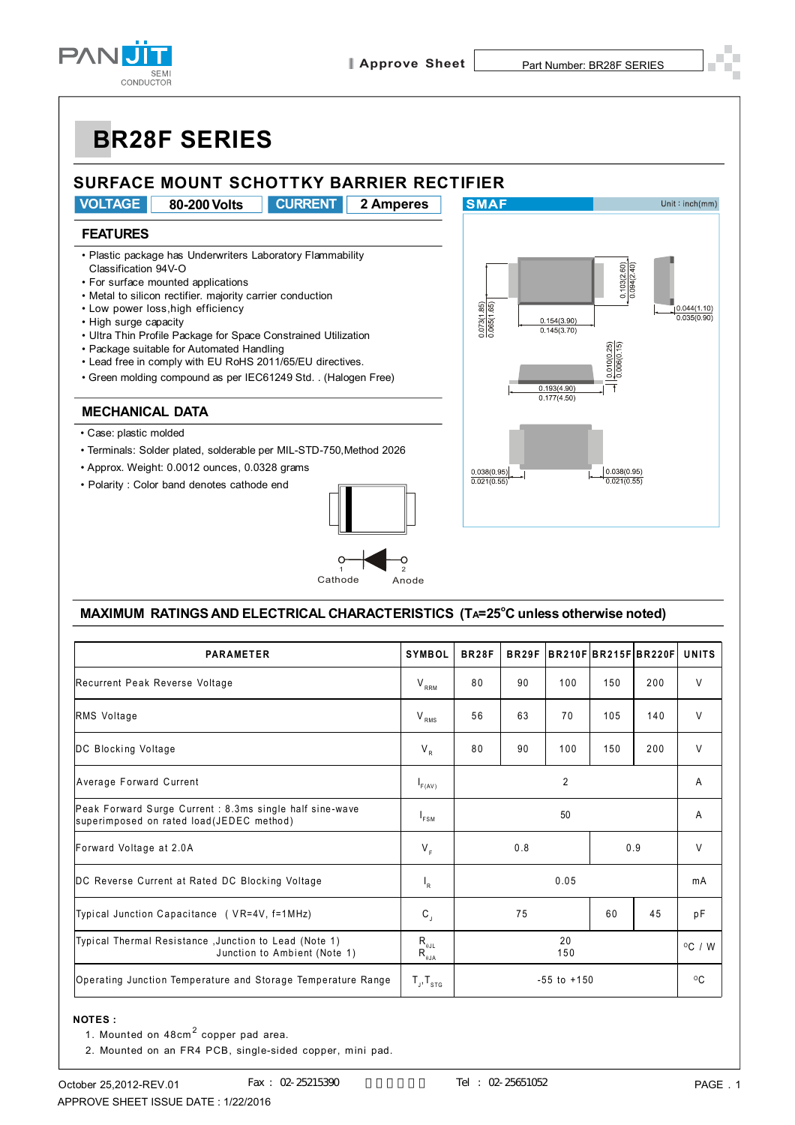

# **BR28F SERIES**

### **SURFACE MOUNT SCHOTTKY BARRIER RECTIFIER**

**VOLTAGE 80-200 Volts CURRENT 2 Amperes**

#### **FEATURES**

- Plastic package has Underwriters Laboratory Flammability Classification 94V-O
- For surface mounted applications
- Metal to silicon rectifier. majority carrier conduction
- Low power loss,high efficiency
- High surge capacity
- Ultra Thin Profile Package for Space Constrained Utilization
- Package suitable for Automated Handling
- Lead free in comply with EU RoHS 2011/65/EU directives.
- Green molding compound as per IEC61249 Std. . (Halogen Free)

#### **MECHANICAL DATA**

- Case: plastic molded
- Terminals: Solder plated, solderable per MIL-STD-750,Method 2026
- Approx. Weight: 0.0012 ounces, 0.0328 grams
- Polarity : Color band denotes cathode end





#### **MAXIMUM RATINGS AND ELECTRICAL CHARACTERISTICS (TA=25<sup>o</sup>C unless otherwise noted)**

| <b>PARAMETER</b>                                                                                    | <b>SYMBOL</b>                                                | <b>BR28F</b>    | BR <sub>29F</sub> |     |     | BR210FBR215FBR220F | <b>UNITS</b>     |
|-----------------------------------------------------------------------------------------------------|--------------------------------------------------------------|-----------------|-------------------|-----|-----|--------------------|------------------|
| Recurrent Peak Reverse Voltage                                                                      | $V_{RRM}$                                                    | 80              | 90                | 100 | 150 | 200                | $\vee$           |
| RMS Voltage                                                                                         | $\rm V_{\rm\, RMS}$                                          | 56              | 63                | 70  | 105 | 140                | $\vee$           |
| DC Blocking Voltage                                                                                 | $V_R$                                                        | 80              | 90                | 100 | 150 | 200                | $\vee$           |
| Average Forward Current                                                                             | $I_{F(AV)}$                                                  | $\overline{2}$  |                   |     |     |                    | A                |
| Peak Forward Surge Current: 8.3ms single half sine-wave<br>superimposed on rated load(JEDEC method) | $I_{FSM}$                                                    | 50              |                   |     |     |                    | A                |
| Forward Voltage at 2.0A                                                                             | $V_F$                                                        | 0.8<br>0.9      |                   |     |     | $\vee$             |                  |
| DC Reverse Current at Rated DC Blocking Voltage                                                     | $I_R$                                                        | 0.05            |                   |     |     |                    | mA               |
| Typical Junction Capacitance (VR=4V, f=1MHz)                                                        | $\mathbf{C}_{\mathrm{J}}$                                    |                 | 75                |     | 60  | 45                 | pF               |
| Typical Thermal Resistance, Junction to Lead (Note 1)<br>Junction to Ambient (Note 1)               | $R_{\scriptscriptstyle{\theta\text{JL}}}$<br>$R_{\theta JA}$ | 20<br>150       |                   |     |     |                    | $^{\circ}$ C / W |
| Operating Junction Temperature and Storage Temperature Range                                        | $T_{J}$ , $T_{STG}$                                          | $-55$ to $+150$ |                   |     |     |                    | $^{\circ}$ C     |

#### **NOTES :**

- 1. Mounted on 48cm<sup>2</sup> copper pad area.
	- 2. Mounted on an FR4 PCB, single-sided copper, mini pad.